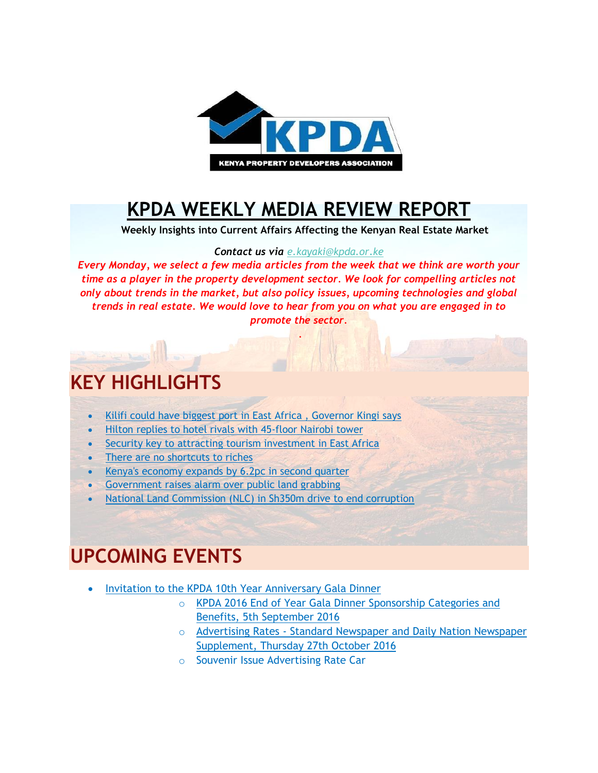

### **[KPDA WEEKLY MEDIA REVIEW REPORT](http://kpda.or.ke/)**

 **Weekly Insights into Current Affairs Affecting the Kenyan Real Estate Market**

#### *Contact us via [e.kayaki@kpda.or](mailto:e.kayaki@kpda.or.ke).ke*

*Every Monday, we select a few media articles from the week that we think are worth your time as a player in the property development sector. We look for compelling articles not only about trends in the market, but also policy issues, upcoming technologies and global trends in real estate. We would love to hear from you on what you are engaged in to promote the sector.*

.

### **KEY HIGHLIGHTS**

- [Kilifi could have biggest port in East Africa , Governor Kingi says](http://www.nation.co.ke/counties/Kilifi/Kilifi-big-port-in-East-Africa---Governor-Kingi/1183282-3407988-88kvd9z/index.html)
- [Hilton replies to hotel rivals with 45-floor Nairobi tower](http://www.nation.co.ke/business/Hilton-replies-to-hotel-rivals-with-45-floor-Nairobi-tower/996-3406900-egoyefz/index.html)
- [Security key to attracting tourism investment in East Africa](http://www.nation.co.ke/news/africa/Security-key-to-attracting-tourism-investment-in-East-Africa/1066-3404926-outk5yz/index.html)
- [There are no shortcuts to riches](http://www.nation.co.ke/lifestyle/saturday/There-are-no-shortcuts-to-riches/1216-3400658-4prggp/index.html)
- [Kenya's economy expands by 6.2pc in second quarter](http://www.nation.co.ke/business/Kenya-s-second-quarter-GDP-expands-by-6-2/996-3400524-158evr6z/index.html)
- [Government raises alarm over public land grabbing](https://citizentv.co.ke/news/govt-raises-alarm-over-public-land-grabbing-144251/)
- [National Land Commission \(NLC\) in Sh350m drive to end corruption](http://www.standardmedia.co.ke/article/2000218445/land-agency-in-sh350m-drive-to-end-corruption)

#### **UPCOMING EVENTS**

- [Invitation to the KPDA 10th Year Anniversary Gala Dinner](https://gallery.mailchimp.com/7bca7a3b8f6eed9f612fdccdd/files/KPDA_10th_Year_Anniversary.01.pdf)
	- o [KPDA 2016 End of Year Gala Dinner Sponsorship Categories and](https://gallery.mailchimp.com/7bca7a3b8f6eed9f612fdccdd/files/KPDA_2016_End_of_Year_Gala_Dinner_Sponsorship_Categories_and_Benefits_5th_September_2016.01.pdf)  [Benefits, 5th September 2016](https://gallery.mailchimp.com/7bca7a3b8f6eed9f612fdccdd/files/KPDA_2016_End_of_Year_Gala_Dinner_Sponsorship_Categories_and_Benefits_5th_September_2016.01.pdf)
	- o Advertising Rates [Standard Newspaper and Daily Nation Newspaper](https://gallery.mailchimp.com/7bca7a3b8f6eed9f612fdccdd/files/Advertising_Rates_Standard_Newspaper_and_Daily_Nation_Newspaper_Supplement_Thursday_27th_October_2016.01.pdf)  [Supplement, Thursday 27th October 2016](https://gallery.mailchimp.com/7bca7a3b8f6eed9f612fdccdd/files/Advertising_Rates_Standard_Newspaper_and_Daily_Nation_Newspaper_Supplement_Thursday_27th_October_2016.01.pdf)
	- o Souvenir Issue Advertising Rate Car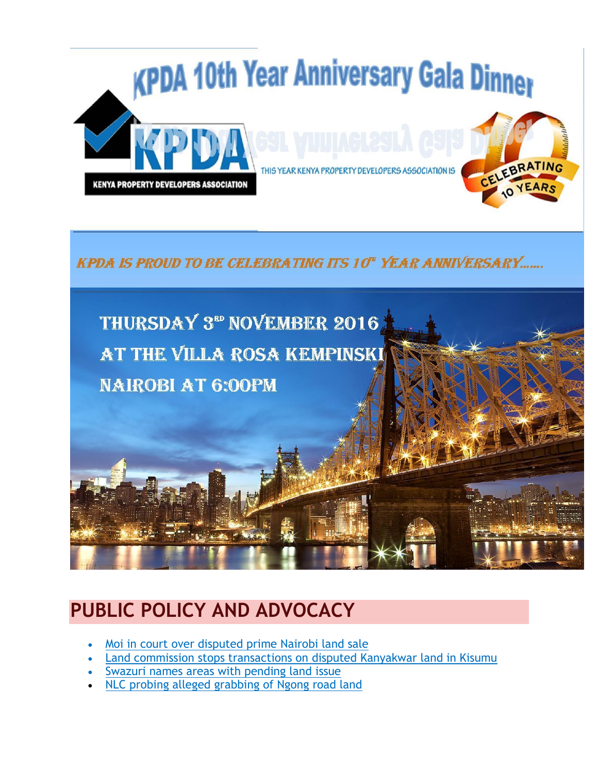

**KPDA IS PROUD TO BE CELEBRATING ITS 10" YEAR ANNIVERSARY.......** 



## **PUBLIC POLICY AND ADVOCACY**

- [Moi in court over disputed prime Nairobi land sale](http://www.nation.co.ke/business/Moi-in-court-over-disputed-prime-Nairobi-land-sale/996-3406908-ejrps7z/index.html)
- [Land commission stops transactions on disputed Kanyakwar land in Kisumu](http://www.nation.co.ke/counties/kisumu/NLC-stops-dealings-in-Kisumu-Kanyakwar/1954182-3405914-q9yyg8/index.html)
- [Swazuri names areas with pending land issue](http://www.nation.co.ke/counties/Swazuri-lists-areas-with-pending-land-issues/1107872-3402788-cowjba/index.html)
- [NLC probing alleged grabbing of Ngong road land](http://www.mediamaxnetwork.co.ke/news/260615/nlc-probing-alleged-grabbing-ngong-road-land/)